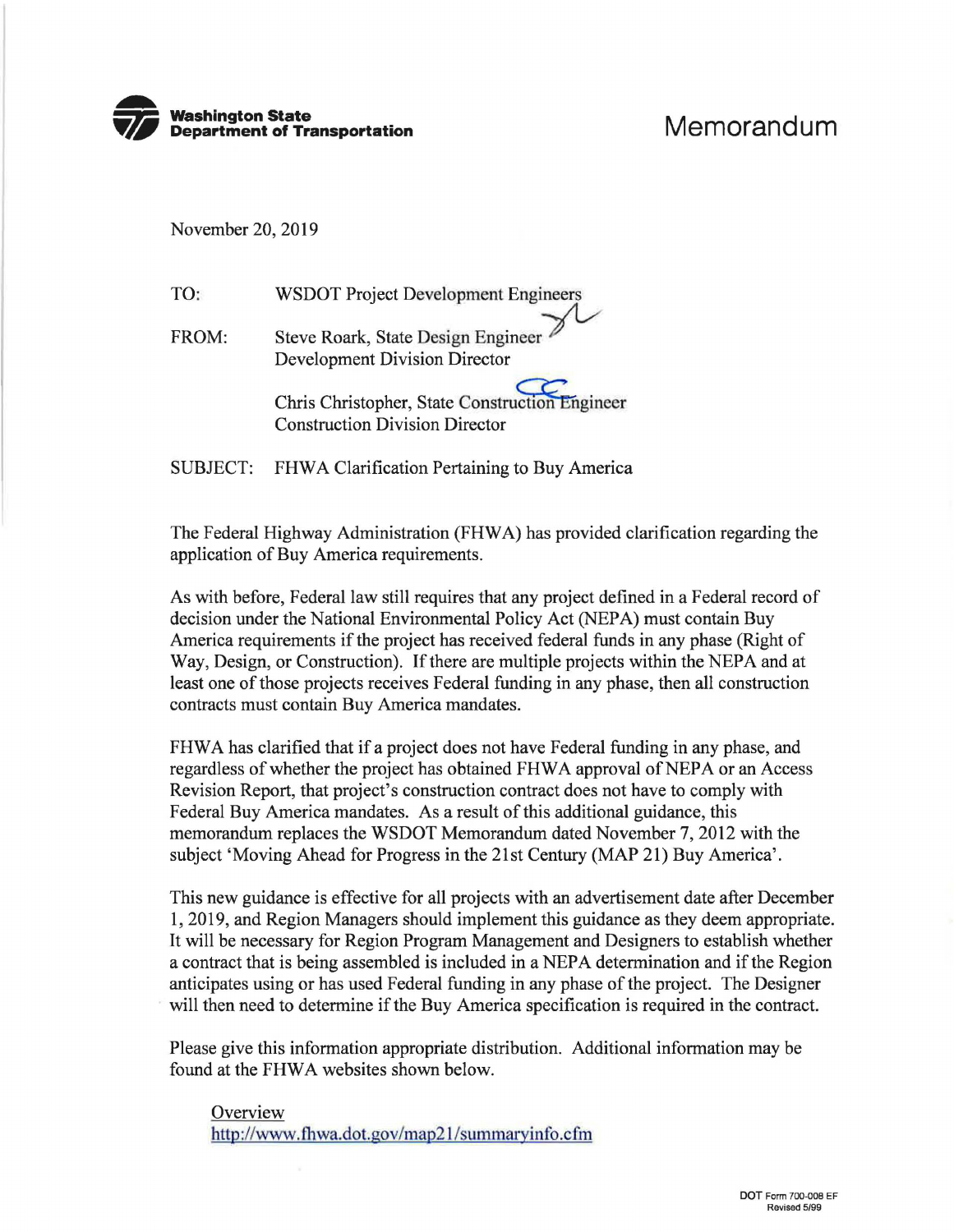

November 20, 2019

TO: WSDOT Project Development Engineers

FROM: Steve Roark, State Design Engineer Development Division Director

> Chris Christopher, State Construction Engineer Construction Division Director

SUBJECT: FHWA Clarification Pertaining to Buy America

The Federal Highway Administration (FHWA) has provided clarification regarding the application of Buy America requirements.

As with before, Federal law still requires that any project defined in a Federal record of decision under the National Environmental Policy Act (NEPA) must contain Buy America requirements if the project has received federal funds in any phase (Right of Way, Design, or Construction). If there are multiple projects within the NEPA and at least one of those projects receives Federal funding in any phase, then all construction contracts must contain Buy America mandates.

FHWA has clarified that if a project does not have Federal funding in any phase, and regardless of whether the project has obtained FHWA approval of NEPA or an Access Revision Report, that project's construction contract does not have to comply with Federal Buy America mandates. As a result of this additional guidance, this memorandum replaces the WSDOT Memorandum dated November 7, 2012 with the subject 'Moving Ahead for Progress in the 21st Century (MAP 21) Buy America'.

This new guidance is effective for all projects with an advertisement date after December 1, 2019, and Region Managers should implement this guidance as they deem appropriate. It will be necessary for Region Program Management and Designers to establish whether a contract that is being assembled is included in a NEPA determination and if the Region anticipates using or has used Federal funding in any phase of the project. The Designer will then need to determine if the Buy America specification is required in the contract.

Please give this information appropriate distribution. Additional information may be found at the FHWA websites shown below.

**Overview** http://www.fhwa.dot.gov/map21/summaryinfo.cfm